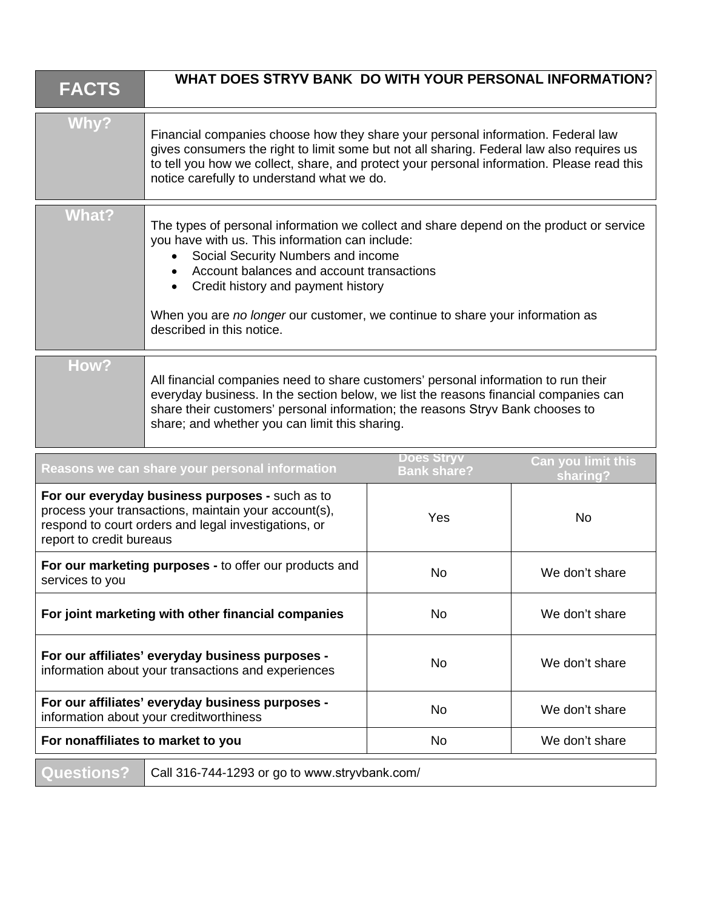| <b>FACTS</b>                                                                                                                                                                                | WHAT DOES STRYV BANK DO WITH YOUR PERSONAL INFORMATION?                                                                                                                                                                                                                                                                                                                           |                                         |                                |
|---------------------------------------------------------------------------------------------------------------------------------------------------------------------------------------------|-----------------------------------------------------------------------------------------------------------------------------------------------------------------------------------------------------------------------------------------------------------------------------------------------------------------------------------------------------------------------------------|-----------------------------------------|--------------------------------|
| Why?                                                                                                                                                                                        | Financial companies choose how they share your personal information. Federal law<br>gives consumers the right to limit some but not all sharing. Federal law also requires us<br>to tell you how we collect, share, and protect your personal information. Please read this<br>notice carefully to understand what we do.                                                         |                                         |                                |
| <b>What?</b>                                                                                                                                                                                | The types of personal information we collect and share depend on the product or service<br>you have with us. This information can include:<br>Social Security Numbers and income<br>Account balances and account transactions<br>Credit history and payment history<br>When you are no longer our customer, we continue to share your information as<br>described in this notice. |                                         |                                |
| How?                                                                                                                                                                                        | All financial companies need to share customers' personal information to run their<br>everyday business. In the section below, we list the reasons financial companies can<br>share their customers' personal information; the reasons Stryv Bank chooses to<br>share; and whether you can limit this sharing.                                                                    |                                         |                                |
|                                                                                                                                                                                             | Reasons we can share your personal information                                                                                                                                                                                                                                                                                                                                    | <u>Does Stryv</u><br><b>Bank share?</b> | Can you limit this<br>sharing? |
| For our everyday business purposes - such as to<br>process your transactions, maintain your account(s),<br>respond to court orders and legal investigations, or<br>report to credit bureaus |                                                                                                                                                                                                                                                                                                                                                                                   | Yes                                     | <b>No</b>                      |
| For our marketing purposes - to offer our products and<br>services to you                                                                                                                   |                                                                                                                                                                                                                                                                                                                                                                                   | No                                      | We don't share                 |
| For joint marketing with other financial companies                                                                                                                                          |                                                                                                                                                                                                                                                                                                                                                                                   | No                                      | We don't share                 |
| For our affiliates' everyday business purposes -<br>information about your transactions and experiences                                                                                     |                                                                                                                                                                                                                                                                                                                                                                                   | No                                      | We don't share                 |
| For our affiliates' everyday business purposes -<br>information about your creditworthiness                                                                                                 |                                                                                                                                                                                                                                                                                                                                                                                   | <b>No</b>                               | We don't share                 |
| For nonaffiliates to market to you                                                                                                                                                          |                                                                                                                                                                                                                                                                                                                                                                                   | No                                      | We don't share                 |
| <b>Questions?</b>                                                                                                                                                                           | Call 316-744-1293 or go to www.stryvbank.com/                                                                                                                                                                                                                                                                                                                                     |                                         |                                |